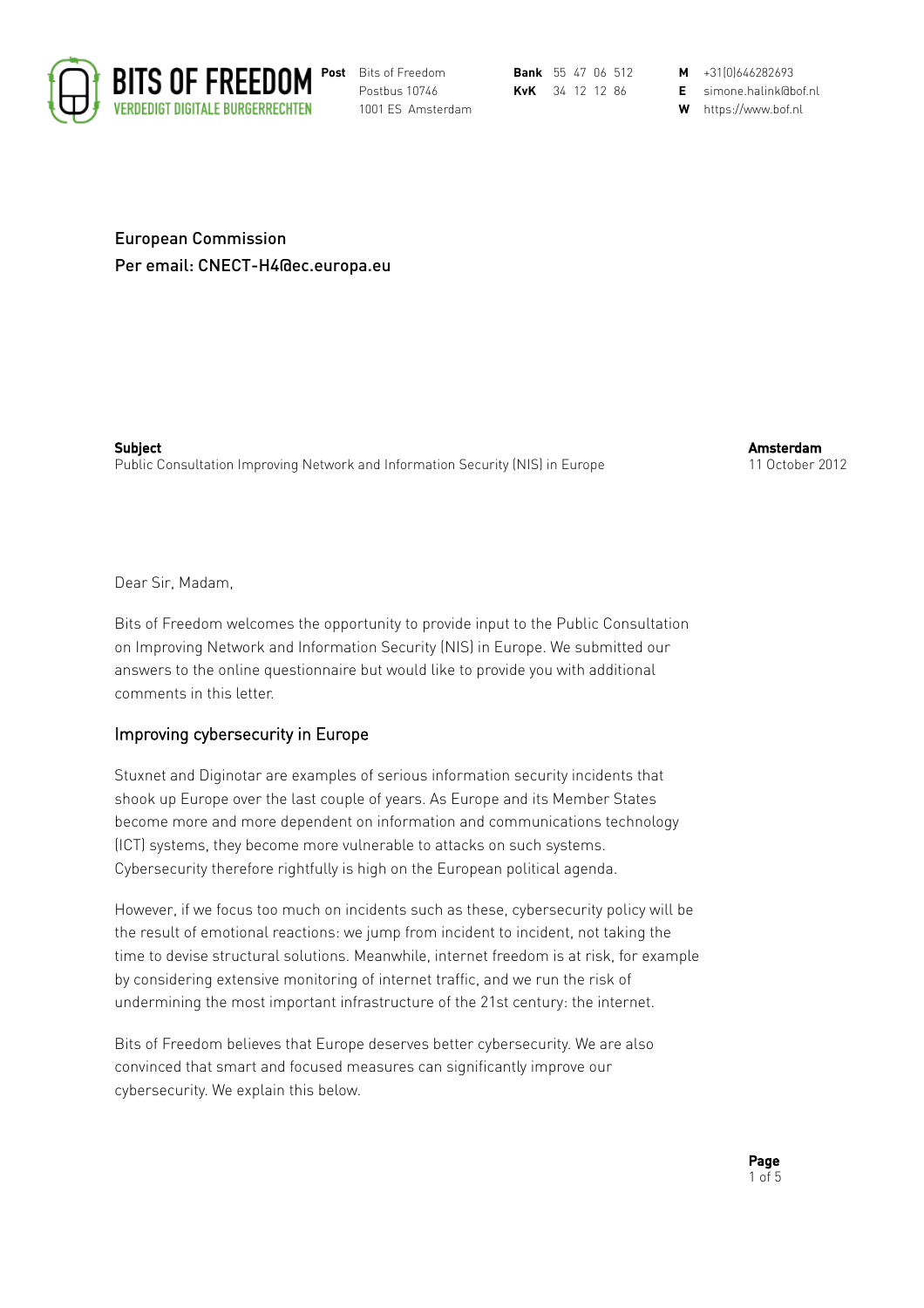

Postbus 10746 **KvK** 34 12 12 86 **E** simone.halink@bof.nl

1001 ES Amsterdam **W** https://www.bof.nl

European Commission Per email: CNECT-H4@ec.europa.eu

Subject Public Consultation Improving Network and Information Security (NIS) in Europe Amsterdam 11 October 2012

Dear Sir, Madam,

Bits of Freedom welcomes the opportunity to provide input to the Public Consultation on Improving Network and Information Security (NIS) in Europe. We submitted our answers to the online questionnaire but would like to provide you with additional comments in this letter.

## Improving cybersecurity in Europe

Stuxnet and Diginotar are examples of serious information security incidents that shook up Europe over the last couple of years. As Europe and its Member States become more and more dependent on information and communications technology (ICT) systems, they become more vulnerable to attacks on such systems. Cybersecurity therefore rightfully is high on the European political agenda.

However, if we focus too much on incidents such as these, cybersecurity policy will be the result of emotional reactions: we jump from incident to incident, not taking the time to devise structural solutions. Meanwhile, internet freedom is at risk, for example by considering extensive monitoring of internet traffic, and we run the risk of undermining the most important infrastructure of the 21st century: the internet.

Bits of Freedom believes that Europe deserves better cybersecurity. We are also convinced that smart and focused measures can significantly improve our cybersecurity. We explain this below.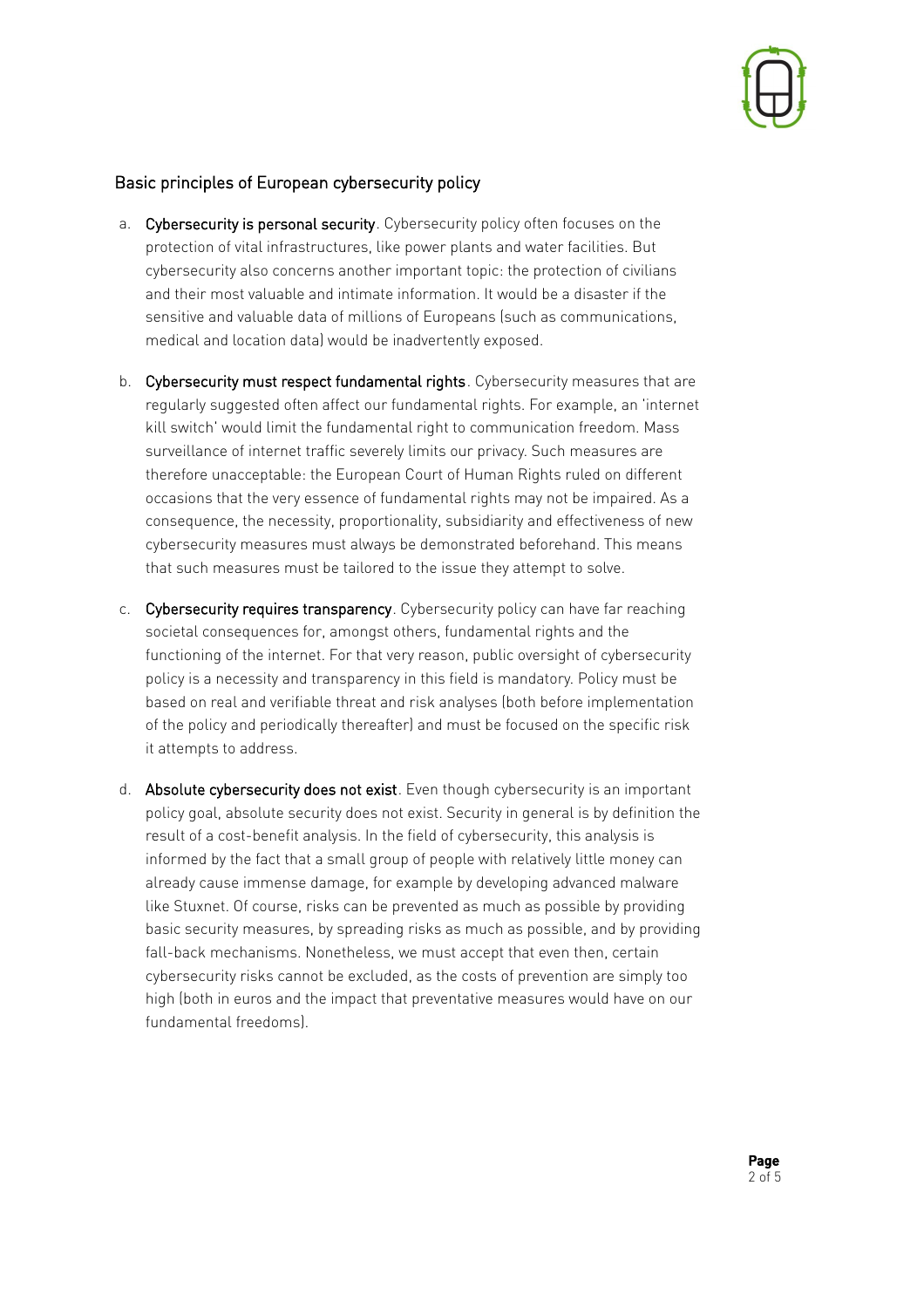

## Basic principles of European cybersecurity policy

- a. Cybersecurity is personal security. Cybersecurity policy often focuses on the protection of vital infrastructures, like power plants and water facilities. But cybersecurity also concerns another important topic: the protection of civilians and their most valuable and intimate information. It would be a disaster if the sensitive and valuable data of millions of Europeans (such as communications, medical and location data) would be inadvertently exposed.
- b. Cybersecurity must respect fundamental rights. Cybersecurity measures that are regularly suggested often affect our fundamental rights. For example, an 'internet kill switch' would limit the fundamental right to communication freedom. Mass surveillance of internet traffic severely limits our privacy. Such measures are therefore unacceptable: the European Court of Human Rights ruled on different occasions that the very essence of fundamental rights may not be impaired. As a consequence, the necessity, proportionality, subsidiarity and effectiveness of new cybersecurity measures must always be demonstrated beforehand. This means that such measures must be tailored to the issue they attempt to solve.
- c. Cybersecurity requires transparency. Cybersecurity policy can have far reaching societal consequences for, amongst others, fundamental rights and the functioning of the internet. For that very reason, public oversight of cybersecurity policy is a necessity and transparency in this field is mandatory. Policy must be based on real and verifiable threat and risk analyses (both before implementation of the policy and periodically thereafter) and must be focused on the specific risk it attempts to address.
- d. Absolute cybersecurity does not exist. Even though cybersecurity is an important policy goal, absolute security does not exist. Security in general is by definition the result of a cost-benefit analysis. In the field of cybersecurity, this analysis is informed by the fact that a small group of people with relatively little money can already cause immense damage, for example by developing advanced malware like Stuxnet. Of course, risks can be prevented as much as possible by providing basic security measures, by spreading risks as much as possible, and by providing fall-back mechanisms. Nonetheless, we must accept that even then, certain cybersecurity risks cannot be excluded, as the costs of prevention are simply too high (both in euros and the impact that preventative measures would have on our fundamental freedoms).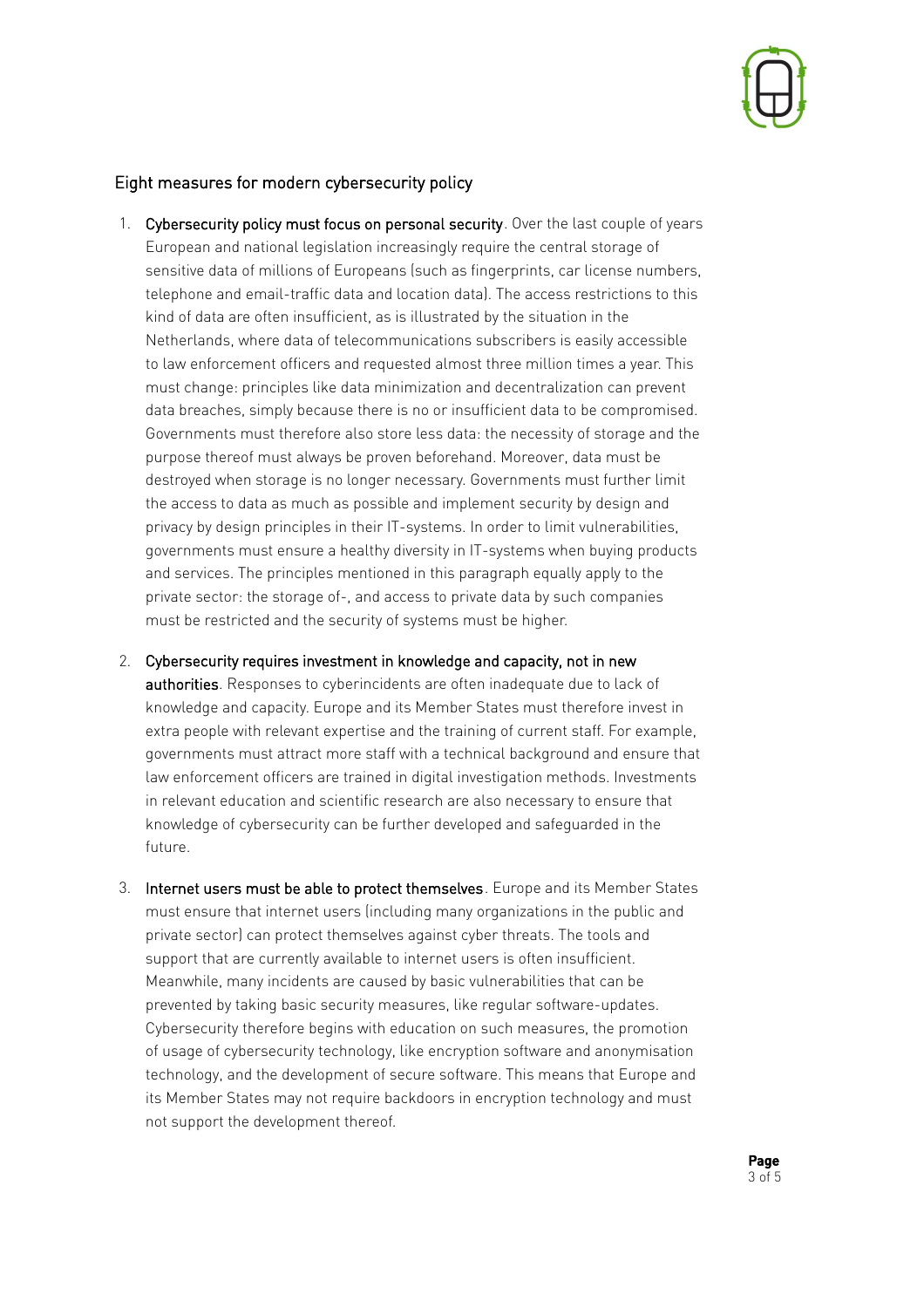

## Eight measures for modern cybersecurity policy

- 1. Cybersecurity policy must focus on personal security. Over the last couple of years European and national legislation increasingly require the central storage of sensitive data of millions of Europeans (such as fingerprints, car license numbers, telephone and email-traffic data and location data). The access restrictions to this kind of data are often insufficient, as is illustrated by the situation in the Netherlands, where data of telecommunications subscribers is easily accessible to law enforcement officers and requested almost three million times a year. This must change: principles like data minimization and decentralization can prevent data breaches, simply because there is no or insufficient data to be compromised. Governments must therefore also store less data: the necessity of storage and the purpose thereof must always be proven beforehand. Moreover, data must be destroyed when storage is no longer necessary. Governments must further limit the access to data as much as possible and implement security by design and privacy by design principles in their IT-systems. In order to limit vulnerabilities, governments must ensure a healthy diversity in IT-systems when buying products and services. The principles mentioned in this paragraph equally apply to the private sector: the storage of-, and access to private data by such companies must be restricted and the security of systems must be higher.
- 2. Cybersecurity requires investment in knowledge and capacity, not in new authorities. Responses to cyberincidents are often inadequate due to lack of knowledge and capacity. Europe and its Member States must therefore invest in extra people with relevant expertise and the training of current staff. For example, governments must attract more staff with a technical background and ensure that law enforcement officers are trained in digital investigation methods. Investments in relevant education and scientific research are also necessary to ensure that knowledge of cybersecurity can be further developed and safeguarded in the future.
- 3. Internet users must be able to protect themselves. Europe and its Member States must ensure that internet users (including many organizations in the public and private sector) can protect themselves against cyber threats. The tools and support that are currently available to internet users is often insufficient. Meanwhile, many incidents are caused by basic vulnerabilities that can be prevented by taking basic security measures, like regular software-updates. Cybersecurity therefore begins with education on such measures, the promotion of usage of cybersecurity technology, like encryption software and anonymisation technology, and the development of secure software. This means that Europe and its Member States may not require backdoors in encryption technology and must not support the development thereof.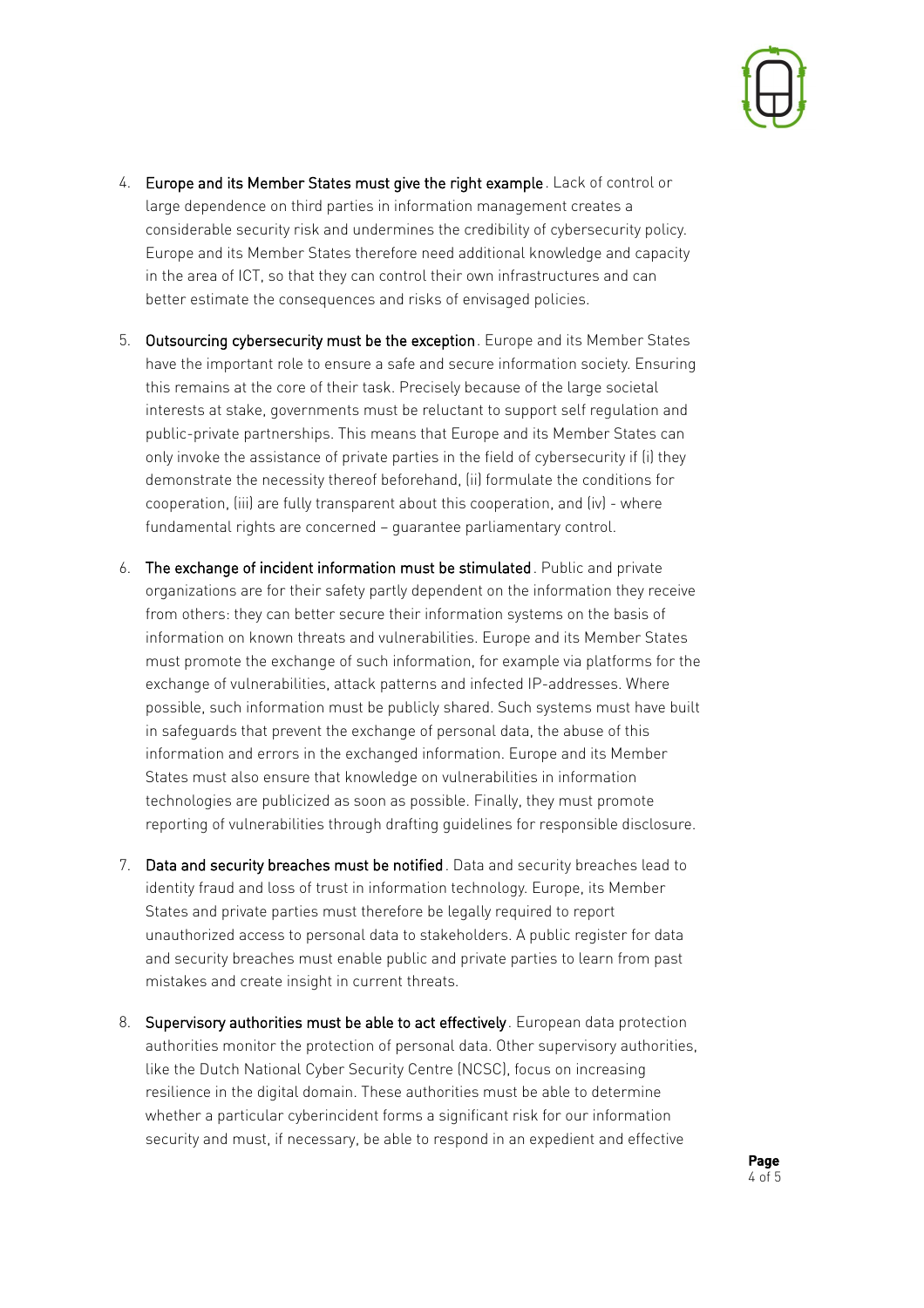

- 4. Europe and its Member States must give the right example. Lack of control or large dependence on third parties in information management creates a considerable security risk and undermines the credibility of cybersecurity policy. Europe and its Member States therefore need additional knowledge and capacity in the area of ICT, so that they can control their own infrastructures and can better estimate the consequences and risks of envisaged policies.
- 5. Outsourcing cybersecurity must be the exception. Europe and its Member States have the important role to ensure a safe and secure information society. Ensuring this remains at the core of their task. Precisely because of the large societal interests at stake, governments must be reluctant to support self regulation and public-private partnerships. This means that Europe and its Member States can only invoke the assistance of private parties in the field of cybersecurity if (i) they demonstrate the necessity thereof beforehand, (ii) formulate the conditions for cooperation, (iii) are fully transparent about this cooperation, and (iv) - where fundamental rights are concerned – guarantee parliamentary control.
- 6. The exchange of incident information must be stimulated. Public and private organizations are for their safety partly dependent on the information they receive from others: they can better secure their information systems on the basis of information on known threats and vulnerabilities. Europe and its Member States must promote the exchange of such information, for example via platforms for the exchange of vulnerabilities, attack patterns and infected IP-addresses. Where possible, such information must be publicly shared. Such systems must have built in safeguards that prevent the exchange of personal data, the abuse of this information and errors in the exchanged information. Europe and its Member States must also ensure that knowledge on vulnerabilities in information technologies are publicized as soon as possible. Finally, they must promote reporting of vulnerabilities through drafting guidelines for responsible disclosure.
- 7. Data and security breaches must be notified. Data and security breaches lead to identity fraud and loss of trust in information technology. Europe, its Member States and private parties must therefore be legally required to report unauthorized access to personal data to stakeholders. A public register for data and security breaches must enable public and private parties to learn from past mistakes and create insight in current threats.
- 8. Supervisory authorities must be able to act effectively. European data protection authorities monitor the protection of personal data. Other supervisory authorities, like the Dutch National Cyber Security Centre (NCSC), focus on increasing resilience in the digital domain. These authorities must be able to determine whether a particular cyberincident forms a significant risk for our information security and must, if necessary, be able to respond in an expedient and effective